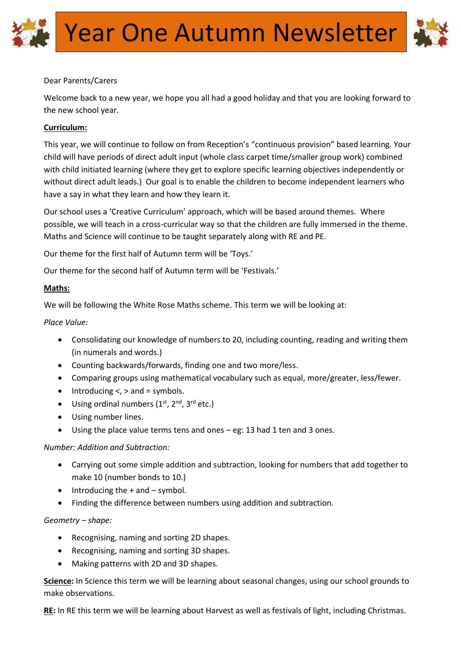

## Dear Parents/Carers

Welcome back to a new year, we hope you all had a good holiday and that you are looking forward to the new school year.

# **Curriculum:**

This year, we will continue to follow on from Reception's "continuous provision" based learning. Your child will have periods of direct adult input (whole class carpet time/smaller group work) combined with child initiated learning (where they get to explore specific learning objectives independently or without direct adult leads.) Our goal is to enable the children to become independent learners who have a say in what they learn and how they learn it.

Our school uses a 'Creative Curriculum' approach, which will be based around themes. Where possible, we will teach in a cross-curricular way so that the children are fully immersed in the theme. Maths and Science will continue to be taught separately along with RE and PE.

Our theme for the first half of Autumn term will be 'Toys.'

Our theme for the second half of Autumn term will be 'Festivals.'

### **Maths:**

We will be following the White Rose Maths scheme. This term we will be looking at:

*Place Value:*

- Consolidating our knowledge of numbers to 20, including counting, reading and writing them (in numerals and words.)
- Counting backwards/forwards, finding one and two more/less.
- Comparing groups using mathematical vocabulary such as equal, more/greater, less/fewer.
- $\bullet$  Introducing  $\lt$ ,  $>$  and = symbols.
- $\bullet$  Using ordinal numbers (1<sup>st</sup>, 2<sup>nd</sup>, 3<sup>rd</sup> etc.)
- Using number lines.
- Using the place value terms tens and ones eg: 13 had 1 ten and 3 ones.

### *Number: Addition and Subtraction:*

- Carrying out some simple addition and subtraction, looking for numbers that add together to make 10 (number bonds to 10.)
- $\bullet$  Introducing the  $+$  and  $-$  symbol.
- Finding the difference between numbers using addition and subtraction.

### *Geometry – shape:*

- Recognising, naming and sorting 2D shapes.
- Recognising, naming and sorting 3D shapes.
- Making patterns with 2D and 3D shapes.

**Science:** In Science this term we will be learning about seasonal changes, using our school grounds to make observations.

**RE:** In RE this term we will be learning about Harvest as well as festivals of light, including Christmas.